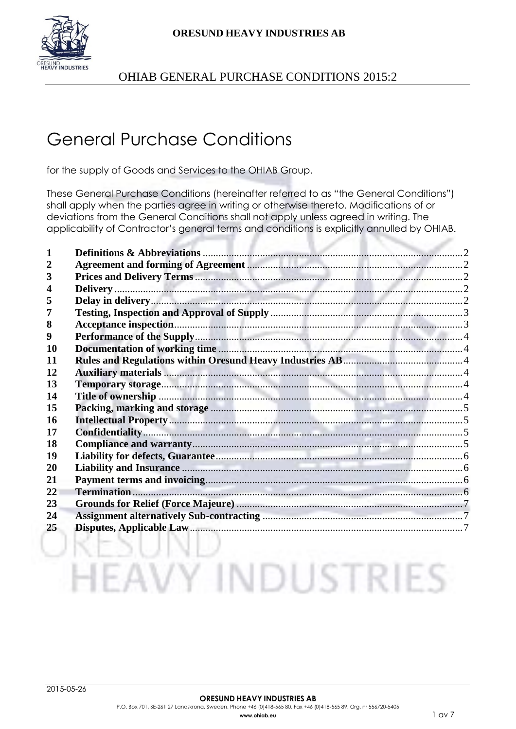



# General Purchase Conditions

for the supply of Goods and Services to the OHIAB Group.

These General Purchase Conditions (hereinafter referred to as "the General Conditions") shall apply when the parties agree in writing or otherwise thereto. Modifications of or deviations from the General Conditions shall not apply unless agreed in writing. The applicability of Contractor's general terms and conditions is explicitly annulled by OHIAB.

| 3  |                                                                        |  |
|----|------------------------------------------------------------------------|--|
| 4  |                                                                        |  |
| 5  |                                                                        |  |
|    |                                                                        |  |
| 8  |                                                                        |  |
| 9  |                                                                        |  |
| 10 |                                                                        |  |
| 11 |                                                                        |  |
| 12 |                                                                        |  |
| 13 |                                                                        |  |
| 14 |                                                                        |  |
| 15 |                                                                        |  |
| 16 |                                                                        |  |
| 17 |                                                                        |  |
| 18 |                                                                        |  |
| 19 |                                                                        |  |
| 20 |                                                                        |  |
| 21 |                                                                        |  |
| 22 |                                                                        |  |
| 23 |                                                                        |  |
| 24 | Assignment alternatively Sub-contracting <b>Election Contraction</b> 7 |  |
| 25 |                                                                        |  |

ORESUND

**HEAVY INDUSTRIES**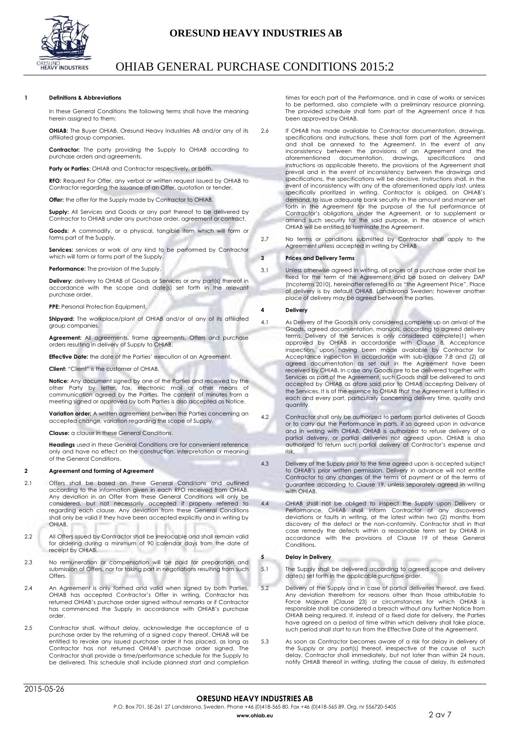

# <span id="page-1-0"></span>**1 Definitions & Abbreviations**

In these General Conditions the following terms shall have the meaning herein assigned to them:

**OHIAB:** The Buyer OHIAB, Oresund Heavy Industries AB and/or any of its affiliated group companies.

**Contractor:** The party providing the Supply to OHIAB according to purchase orders and agreements.

**Party or Parties:** OHIAB and Contractor respectively, or both.

**RFO:** Request For Offer, any verbal or written request issued by OHIAB to Contractor regarding the issuance of an Offer, quotation or tender.

**Offer:** the offer for the Supply made by Contractor to OHIAB.

**Supply:** All Services and Goods or any part thereof to be delivered by Contractor to OHIAB under any purchase order, agreement or contract.

**Goods:** A commodity, or a physical, tangible item which will form or forms part of the Supply.

**Services:** services or work of any kind to be performed by Contractor which will form or forms part of the Supply.

**Performance:** The provision of the Supply.

**Delivery:** delivery to OHIAB of Goods or Services or any part(s) thereof in accordance with the scope and date(s) set forth in the relevant purchase order.

**PPE:** Personal Protection Equipment.

**Shipyard:** The workplace/plant of OHIAB and/or of any of its affiliated group companies.

Agreement: All agreements, frame agreements, Offers and purchase orders resulting in delivery of Supply to OHIAB.

**Effective Date:** the date of the Parties' execution of an Agreement.

**Client:** "Client" is the customer of OHIAB.

**Notice:** Any document signed by one of the Parties and received by the other Party by letter, fax, electronic mail or other means of communication agreed by the Parties. The content of minutes from a meeting signed or approved by both Parties is also accepted as Notice.

**Variation order:** A written agreement between the Parties concerning an accepted change, variation regarding the scope of Supply.

**Clause:** a clause in these General Conditions.

**Headings** used in these General Conditions are for convenient reference only and have no effect on the construction, interpretation or meaning of the General Conditions.

# <span id="page-1-1"></span>**2 Agreement and forming of Agreement**

- 2.1 Offers shall be based on these General Conditions and outlined according to the information given in each RFO received from OHIAB. Any deviation in an Offer from these General Conditions will only be considered, but not necessarily accepted if properly referred to regarding each clause. Any deviation from these General Conditions shall only be valid if they have been accepted explicitly and in writing by **OHIAB**
- 2.2 All Offers issued by Contractor shall be irrevocable and shall remain valid for ordering during a minimum of 90 calendar days from the date of receipt by OHIAB.
- 2.3 No remuneration or compensation will be paid for preparation and submission of Offers, nor for taking part in negotiations resulting from such Offers
- 2.4 An Agreement is only formed and valid when signed by both Parties, OHIAB has accepted Contractor's Offer in writing, Contractor has returned OHIAB's purchase order signed without remarks or if Contractor has commenced the Supply in accordance with OHIAB's purchase order.
- 2.5 Contractor shall, without delay, acknowledge the acceptance of a purchase order by the returning of a signed copy thereof. OHIAB will be entitled to revoke any issued purchase order it has placed, as long as Contractor has not returned OHIAB's purchase order signed. The Contractor shall provide a time/performance schedule for the Supply to be delivered. This schedule shall include planned start and completion

times for each part of the Performance, and in case of works or services to be performed, also complete with a preliminary resource planning. The provided schedule shall form part of the Agreement once it has been approved by OHIAB.

- 2.6 If OHIAB has made available to Contractor documentation, drawings, specifications and instructions, these shall form part of the Agreement and shall be annexed to the Agreement. In the event of any inconsistency between the provisions of an Agreement and the aforementioned documentation, drawings, specifications and instructions as applicable thereto, the provisions of the Agreement shall prevail and in the event of inconsistency between the drawings and specifications, the specifications will be decisive. Instructions shall, in the event of inconsistency with any of the aforementioned apply last, unless specifically prioritized in writing. Contractor is obliged, on OHIAB's demand, to issue adequate bank security in the amount and manner set forth in the Agreement for the purpose of the full performance of Contractor's obligations under the Agreement, or to supplement or amend such security for the said purpose, in the absence of which OHIAB will be entitled to terminate the Agreement.
- 2.7 No terms or conditions submitted by Contractor shall apply to the Agreement unless accepted in writing by OHIAB

# <span id="page-1-2"></span>**3 Prices and Delivery Terms**

3.1 Unless otherwise agreed in writing, all prices of a purchase order shall be fixed for the term of the Agreement and be based on delivery DAP (Incoterms 2010), hereinafter referred to as "the Agreement Price". Place of delivery is by default OHIAB, Landskrona Sweden; however another place of delivery may be agreed between the parties.

# <span id="page-1-3"></span>**4 Delivery**

- 4.1 As Delivery of the Goods is only considered complete up on arrival of the Goods, agreed documentation, manuals, according to agreed delivery terms. Delivery of the Services is only considered complete(1) when approved by OHIAB in accordance with Clause 8, Acceptance inspection, upon having been made available by Contractor for Acceptance inspection in accordance with sub-clause 7.8 and (2) all agreed documentation as set out in the Agreement have been received by OHIAB. In case any Goods are to be delivered together with Services as part of the Agreement, such Goods shall be delivered to and accepted by OHIAB as afore said prior to OHIAB accepting Delivery of the Services. It is of the essence to OHIAB that the Agreement is fulfilled in each and every part, particularly concerning delivery time, quality and quantity.
- 4.2 Contractor shall only be authorized to perform partial deliveries of Goods or to carry out the Performance in parts, if so agreed upon in advance and in writing with OHIAB. OHIAB is authorized to refuse delivery of a partial delivery, or partial deliveries not agreed upon. OHIAB is also authorized to return such partial delivery at Contractor's expense and risk.
- 4.3 Delivery of the Supply prior to the time agreed upon is accepted subject to OHIAB's prior written permission. Delivery in advance will not entitle Contractor to any changes of the terms of payment or of the terms of guarantee according to Clause 19, unless separately agreed in writing with OHIAB.
- 4.4 OHIAB shall not be obliged to inspect the Supply upon Delivery or Performance. OHIAB shall inform Contractor of any discovered deviations or faults in writing, at the latest within two (2) months from discovery of the defect or the non-conformity. Contractor shall in that case remedy the defects within a reasonable term set by OHIAB in accordance with the provisions of Clause 19 of these General Conditions.

### <span id="page-1-4"></span>**5 Delay in Delivery**

- 5.1 The Supply shall be delivered according to agreed scope and delivery date(s) set forth in the applicable purchase order.
- 5.2 Delivery of the Supply and in case of partial deliveries thereof, are fixed. Any deviation therefrom for reasons other than those attributable to Force Majeure (Clause 23) or circumstances for which OHIAB is responsible shall be considered a breach without any further Notice from OHIAB being required. If, instead of a fixed date for delivery, the Parties have agreed on a period of time within which delivery shall take place, such period shall start to run from the Effective Date of the Agreement.
- 5.3 As soon as Contractor becomes aware of a risk for delay in delivery of the Supply or any part(s) thereof, irrespective of the cause of such delay, Contractor shall immediately, but not later than within 24 hours, notify OHIAB thereof in writing, stating the cause of delay, its estimated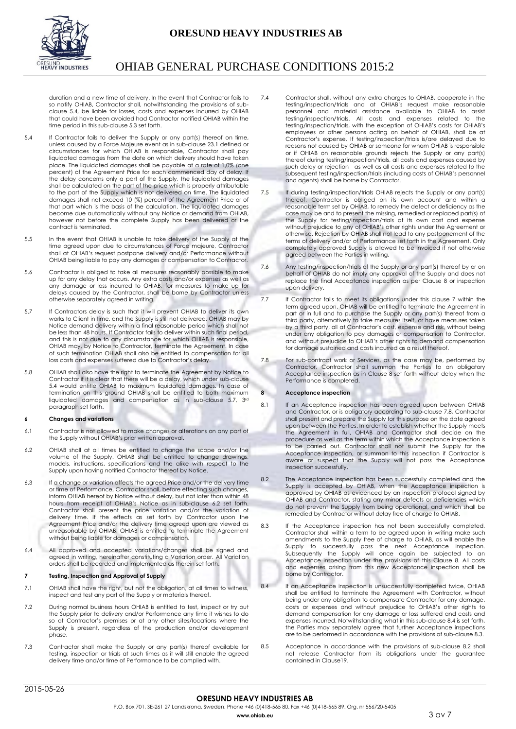# **ORESUND HEAVY INDUSTRIES AB**



# OHIAB GENERAL PURCHASE CONDITIONS 2015:2

duration and a new time of delivery. In the event that Contractor fails to so notify OHIAB, Contractor shall, notwithstanding the provisions of subclause 5.4, be liable for losses, costs and expenses incurred by OHIAB that could have been avoided had Contractor notified OHIAB within the time period in this sub-clause 5.3 set forth.

- 5.4 If Contractor fails to deliver the Supply or any part(s) thereof on time, unless caused by a Force Majeure event as in sub-clause 23.1 defined or circumstances for which OHIAB is responsible, Contractor shall pay liquidated damages from the date on which delivery should have taken place. The liquidated damages shall be payable at a rate of 1,0% (one percent) of the Agreement Price for each commenced day of delay. If the delay concerns only a part of the Supply, the liquidated damages shall be calculated on the part of the price which is properly attributable to the part of the Supply which is not delivered on time. The liquidated damages shall not exceed 10 (%) percent of the Agreement Price or of that part which is the basis of the calculation. The liquidated damages become due automatically without any Notice or demand from OHIAB, however not before the complete Supply has been delivered or the contract is terminated.
- 5.5 In the event that OHIAB is unable to take delivery of the Supply at the time agreed upon due to circumstances of Force majeure, Contractor shall at OHIAB's request postpone delivery and/or Performance without OHIAB being liable to pay any damages or compensation to Contractor.
- 5.6 Contractor is obliged to take all measures reasonably possible to make up for any delay that occurs. Any extra costs and/or expenses as well as any damage or loss incurred to OHIAB, for measures to make up for delays caused by the Contractor, shall be borne by Contractor unless otherwise separately agreed in writing.
- 5.7 If Contractors delay is such that it will prevent OHIAB to deliver its own works to Client in time, and the Supply is still not delivered, OHIAB may by Notice demand delivery within a final reasonable period which shall not be less than 48 hours. If Contractor fails to deliver within such final period, and this is not due to any circumstance for which OHIAB is responsible, OHIAB may, by Notice to Contractor, terminate the Agreement. In case of such termination OHIAB shall also be entitled to compensation for all loss costs and expenses suffered due to Contractor's delay.
- 5.8 OHIAB shall also have the right to terminate the Agreement by Notice to Contractor if it is clear that there will be a delay, which under sub-clause 5.4 would entitle OHIAB to maximum liquidated damages. In case of termination on this ground OHIAB shall be entitled to both maximum liquidated damages and compensation as in sub-clause 5.7, 3rd paragraph set forth.

# **6 Changes and variations**

- 6.1 Contractor is not allowed to make changes or alterations on any part of the Supply without OHIAB's prior written approval.
- 6.2 OHIAB shall at all times be entitled to change the scope and/or the volume of the Supply. OHIAB shall be entitled to change drawings, models, instructions, specifications and the alike with respect to the Supply upon having notified Contractor thereof by Notice.
- 6.3 If a change or variation affects the agreed Price and/or the delivery time or time of Performance, Contractor shall, before effecting such changes, inform OHIAB hereof by Notice without delay, but not later than within 48 hours from receipt of OHIAB's Notice as in sub-clause 6.2 set forth. Contractor shall present the price variation and/or the variation of delivery time. If the effects as set forth by Contractor upon the Agreement Price and/or the delivery time agreed upon are viewed as unreasonable by OHIAB, OHIAB is entitled to terminate the Agreement without being liable for damages or compensation.
- 6.4 All approved and accepted variations/changes shall be signed and agreed in writing, hereinafter constituting a Variation order. All Variation orders shall be recorded and implemented as therein set forth.

# <span id="page-2-0"></span>**7 Testing, Inspection and Approval of Supply**

- 7.1 OHIAB shall have the right, but not the obligation, at all times to witness, inspect and test any part of the Supply or materials thereof.
- 7.2 During normal business hours OHIAB is entitled to test, inspect or try out the Supply prior to delivery and/or Performance any time it wishes to do so at Contractor's premises or at any other sites/locations where the Supply is present, regardless of the production and/or development phase.
- 7.3 Contractor shall make the Supply or any part(s) thereof available for testing, inspection or trials at such times as it will still enable the agreed delivery time and/or time of Performance to be complied with.
- 7.4 Contractor shall, without any extra charges to OHIAB, cooperate in the testing/inspection/trials and at OHIAB's request make reasonable personnel and material assistance available to OHIAB to assist testing/inspection/trials. All costs and expenses related to the testing/inspection/trials, with the exception of OHIAB's costs for OHIAB's employees or other persons acting on behalf of OHIAB, shall be at Contractor's expense. If testing/inspection/trials is/are delayed due to reasons not caused by OHIAB or someone for whom OHIAB is responsible or if OHIAB on reasonable grounds rejects the Supply or any part(s) thereof during testing/inspection/trials, all costs and expenses caused by such delay or rejection as well as all costs and expenses related to the subsequent testing/inspection/trials (including costs of OHIAB's personnel and agents) shall be borne by Contractor.
- 7.5 If during testing/inspection/trials OHIAB rejects the Supply or any part(s) thereof, Contractor is obliged on its own account and within a reasonable term set by OHIAB, to remedy the defect or deficiency as the case may be and to present the missing, remedied or replaced part(s) of the Supply for testing/inspection/trials at its own cost and expense without prejudice to any of OHIAB's other rights under the Agreement or otherwise. Rejection by OHIAB shall not lead to any postponement of the terms of delivery and/or of Performance set forth in the Agreement. Only completely approved Supply is allowed to be invoiced if not otherwise agreed between the Parties in writing.
- 7.6 Any testing/inspection/trials of the Supply or any part(s) thereof by or on behalf of OHIAB do not imply any approval of the Supply and does not replace the final Acceptance inspection as per Clause 8 or inspection upon delivery.
- 7.7 If Contractor fails to meet its obligations under this clause 7 within the term agreed upon, OHIAB will be entitled to terminate the Agreement in part or in full and to purchase the Supply or any part(s) thereof from a third party, alternatively to take measures itself, or have measures taken by a third party, all at Contractor's cost, expense and risk, without being under any obligation to pay damages or compensation to Contractor, and without prejudice to OHIAB's other rights to demand compensation for damage sustained and costs incurred as a result thereof.
- 7.8 For sub-contract work or Services, as the case may be, performed by Contractor, Contractor shall summon the Parties to an obligatory Acceptance inspection as in Clause 8 set forth without delay when the Performance is completed.

# <span id="page-2-1"></span>**8 Acceptance inspection**

- 8.1 If an Acceptance inspection has been agreed upon between OHIAB and Contractor, or is obligatory according to sub-clause 7.8, Contractor shall present and prepare the Supply for this purpose on the date agreed upon between the Parties. In order to establish whether the Supply meets the Agreement in full, OHIAB and Contractor shall decide on the procedure as well as the term within which the Acceptance inspection is to be carried out. Contractor shall not submit the Supply for the Acceptance inspection, or summon to this inspection if Contractor is aware or suspect that the Supply will not pass the Acceptance inspection successfully.
- 8.2 The Acceptance inspection has been successfully completed and the Supply is accepted by OHIAB, when the Acceptance inspection is approved by OHIAB as evidenced by an inspection protocol signed by OHIAB and Contractor**,** stating any minor defects or deficiencies which do not prevent the Supply from being operational, and which shall be remedied by Contractor without delay free of charge to OHIAB.
- 8.3 If the Acceptance inspection has not been successfully completed, Contractor shall within a term to be agreed upon in writing make such amendments to the Supply free of charge to OHIAB, as will enable the Supply to successfully pass the next Acceptance inspection. Subsequently the Supply will once again be subjected to an Acceptance inspection under the provisions of this Clause 8. All costs and expenses arising from this new Acceptance inspection shall be borne by Contractor.
- 8.4 If an Acceptance inspection is unsuccessfully completed twice, OHIAB shall be entitled to terminate the Agreement with Contractor, without being under any obligation to compensate Contractor for any damage, costs or expenses and without prejudice to OHIAB's other rights to demand compensation for any damage or loss suffered and costs and expenses incurred. Notwithstanding what in this sub-clause 8.4 is set forth, the Parties may separately agree that further Acceptance inspections are to be performed in accordance with the provisions of sub-clause 8.3.
- 8.5 Acceptance in accordance with the provisions of sub-clause 8.2 shall not release Contractor from its obligations under the guarantee contained in Clause19.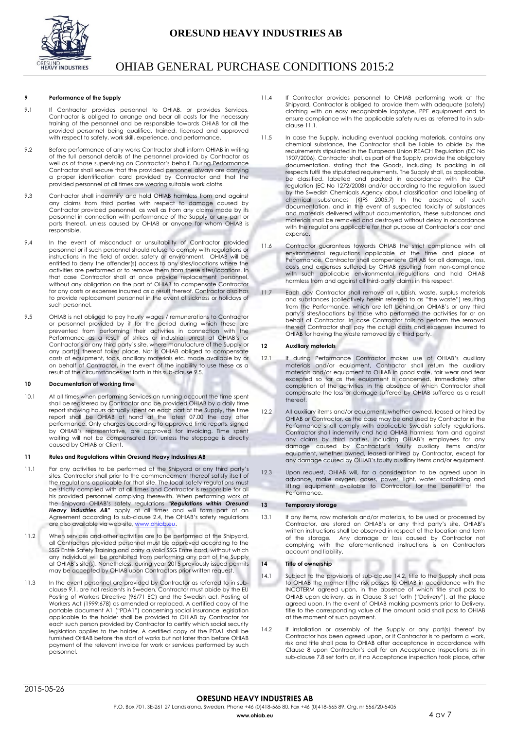

# <span id="page-3-0"></span>**9 Performance of the Supply**

- 9.1 If Contractor provides personnel to OHIAB, or provides Services, Contractor is obliged to arrange and bear all costs for the necessary training of the personnel and be responsible towards OHIAB for all the provided personnel being qualified, trained, licensed and approved with respect to safety, work skill, experience, and performance.
- 9.2 Before performance of any works Contractor shall inform OHIAB in writing of the full personal details of the personnel provided by Contractor as well as of those supervising on Contractor's behalf. During Performance Contractor shall secure that the provided personnel always are carrying a proper identification card provided by Contractor and that the provided personnel at all times are wearing suitable work cloths.
- 9.3 Contractor shall indemnify and hold OHIAB harmless from and against any claims from third parties with respect to damage caused by Contractor provided personnel, as well as from any claims made by its personnel in connection with performance of the Supply or any part or parts thereof, unless caused by OHIAB or anyone for whom OHIAB is .<br>responsible.
- 9.4 In the event of misconduct or unsuitability of Contractor provided personnel or if such personnel should refuse to comply with regulations or instructions in the field of order, safety or environment, OHIAB will be entitled to deny the offender(s) access to any sites/locations where the activities are performed or to remove them from these sites/locations. In that case Contractor shall at once provide replacement personnel, without any obligation on the part of OHIAB to compensate Contractor for any costs or expenses incurred as a result thereof. Contractor also has to provide replacement personnel in the event of sickness or holidays of such personnel.
- 9.5 OHIAB is not obliged to pay hourly wages / remunerations to Contractor or personnel provided by it for the period during which these are prevented from performing their activities in connection with the Performance as a result of strikes or industrial unrest at OHIAB's or Contractor's or any third party's site, where manufacture of the Supply or any part(s) thereof takes place. Nor is OHIAB obliged to compensate costs of equipment, tools, ancillary materials etc. made available by or on behalf of Contractor, in the event of the inability to use these as a result of the circumstances set forth in this sub-clause 9.5.

# <span id="page-3-1"></span>**10 Documentation of working time**

10.1 At all times when performing Services on running account the time spent shall be registered by Contractor and be provided OHIAB by a daily time report showing hours actually spent on each part of the Supply, the time report shall be OHIAB at hand at the latest 07.00 the day after performance. Only charges according to approved time reports, signed by OHIAB's representative, are approved for invoicing. Time spent waiting will not be compensated for, unless the stoppage is directly caused by OHIAB or Client.

# <span id="page-3-2"></span>**11 Rules and Regulations within Oresund Heavy Industries AB**

- 11.1 For any activities to be performed at the Shipyard or any third party's sites, Contractor shall prior to the commencement thereof satisfy itself of the regulations applicable for that site. The local safety regulations must be strictly complied with at all times and Contractor is responsible for all his provided personnel complying therewith. When performing work at the Shipyard OHIAB's safety regulations *"Regulations within Oresund Heavy Industries AB"* apply at all times and will form part of an Agreement according to sub-clause 2.4, the OHIAB's safety regulations are also available via web-site, www.ohiab.eu
- 11.2 When services and other activities are to be performed at the Shipyard, all Contractors provided personnel must be approved according to the SSG Entre Safety Training and carry a valid SSG Entre card, without which any individual will be prohibited from performing any part of the Supply at OHIAB's site(s). Nonetheless, during year 2015 previously issued permits may be accepted by OHIAB upon Contractors prior written request.
- 11.3 In the event personnel are provided by Contractor as referred to in subclause 9.1, are not residents in Sweden, Contractor must abide by the EU Posting of Workers Directive (96/71 EC) and the Swedish act, Posting of Workers Act (1999:678) as amended or replaced. A certified copy of the portable document A1 ("PDA1") concerning social insurance legislation applicable to the holder shall be provided to OHIAB by Contractor for each such person provided by Contractor to certify which social security legislation applies to the holder. A certified copy of the PDA1 shall be furnished OHIAB before the start of works but not later than before OHIAB payment of the relevant invoice for work or services performed by such personnel.
- 11.4 If Contractor provides personnel to OHIAB performing work at the Shipyard, Contractor is obliged to provide them with adequate (safety) clothing with an easy recognizable logotype, PPE equipment and to ensure compliance with the applicable safety rules as referred to in subclause 11.1.
- 11.5 In case the Supply, including eventual packing materials, contains any chemical substance, the Contractor shall be liable to abide by the requirements stipulated in the European Union REACH Regulation (EC No 1907/2006). Contractor shall, as part of the Supply, provide the obligatory documentation, stating that the Goods, including its packing in all respects fulfil the stipulated requirements. The Supply shall, as applicable, be classified, labelled and packed in accordance with the CLP regulation (EC No 1272/2008) and/or according to the regulation issued by the Swedish Chemicals Agency about classification and labelling of chemical substances (KIFS 2005:7) In the absence of such documentation, and in the event of suspected toxicity of substances and materials delivered without documentation, these substances and materials shall be removed and destroyed without delay in accordance with the regulations applicable for that purpose at Contractor's cost and expense.
- 11.6 Contractor guarantees towards OHIAB the strict compliance with all environmental regulations applicable at the time and place of Performance. Contractor shall compensate OHIAB for all damage, loss, costs and expenses suffered by OHIAB resulting from non-compliance with such applicable environmental regulations and hold OHIAB harmless from and against all third-party claims in this respect.
- 11.7 Each day Contractor shall remove all rubbish, waste, surplus materials and substances (collectively herein referred to as "the waste") resulting from the Performance, which are left behind on OHIAB's or any third party's sites/locations by those who performed the activities for or on behalf of Contractor. In case Contractor fails to perform the removal thereof Contractor shall pay the actual costs and expenses incurred to OHIAB for having the waste removed by a third party.

# <span id="page-3-3"></span>**12 Auxiliary materials**

- 12.1 If during Performance Contractor makes use of OHIAB's auxiliary materials and/or equipment, Contractor shall return the auxiliary materials and/or equipment to OHIAB in good state, fair wear and tear excepted so far as the equipment is concerned, immediately after completion of the activities, in the absence of which Contractor shall compensate the loss or damage suffered by OHIAB suffered as a result thereof.
- 12.2 All auxiliary items and/or equipment, whether owned, leased or hired by OHIAB or Contractor, as the case may be and used by Contractor in the Performance shall comply with applicable Swedish safety regulations. Contractor shall indemnify and hold OHIAB harmless from and against any claims by third parties, including OHIAB's employees for any damage caused by Contractor's faulty auxiliary items and/or equipment, whether owned, leased or hired by Contractor, except for any damage caused by OHIAB's faulty auxiliary items and/or equipment.
- 12.3 Upon request, OHIAB will, for a consideration to be agreed upon in advance, make oxygen, gases, power, light, water, scaffolding and lifting equipment available to Contractor for the benefit of the Performance.

# <span id="page-3-4"></span>**13 Temporary storage**

13.1 If any items, raw materials and/or materials, to be used or processed by Contractor, are stored on OHIAB's or any third party's site, OHIAB's written instructions shall be observed in respect of the location and term of the storage. Any damage or loss caused by Contractor not Any damage or loss caused by Contractor not complying with the aforementioned instructions is on Contractors account and liability.

# <span id="page-3-5"></span>**14 Title of ownership**

- 14.1 Subject to the provisions of sub-clause 14.2, title to the Supply shall pass to OHIAB the moment the risk passes to OHIAB in accordance with the INCOTERM agreed upon, in the absence of which title shall pass to OHIAB upon delivery, as in Clause 3 set forth ("Delivery"), at the place agreed upon. In the event of OHIAB making payments prior to Delivery, title to the corresponding value of the amount paid shall pass to OHIAB at the moment of such payment.
- 14.2 If installation or assembly of the Supply or any part(s) thereof by Contractor has been agreed upon, or if Contractor is to perform a work, risk and title shall pass to OHIAB after acceptance in accordance with Clause 8 upon Contractor's call for an Acceptance Inspections as in sub-clause 7.8 set forth or, if no Acceptance inspection took place, after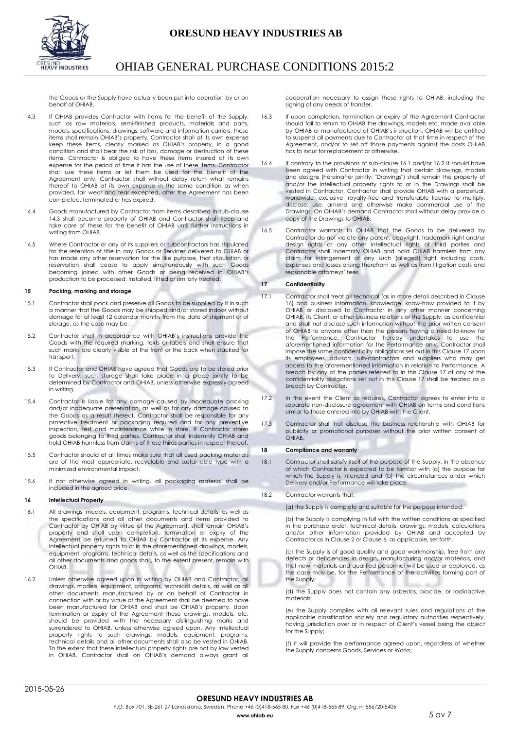



the Goods or the Supply have actually been put into operation by or on behalf of OHIAB.

- 14.3 If OHIAB provides Contractor with items for the benefit of the Supply, such as raw materials, semi-finished products, materials and parts, models, specifications, drawings, software and information carriers, these items shall remain OHIAB's property. Contractor shall at its own expense keep these items, clearly marked as OHIAB's property, in a good condition and shall bear the risk of loss, damage or destruction of these items. Contractor is obliged to have these items insured at its own expense for the period of time it has the use of these items. Contractor shall use these items or let them be used for the benefit of the Agreement only. Contractor shall without delay return what remains thereof to OHIAB at its own expense in the same condition as when provided, fair wear and tear excepted, after the Agreement has been completed, terminated or has expired.
- 14.4 Goods manufactured by Contractor from items described in sub-clause 14.3 shall become property of OHIAB and Contractor shall keep and take care of these for the benefit of OHIAB until further instructions in writing from OHIAB.
- 14.5 Where Contractor or any of its suppliers or subcontractors has stipulated for the retention of title in any Goods or Services delivered to OHIAB or has made any other reservation for the like purpose, that stipulation or reservation shall cease to apply simultaneously with such Goods becoming joined with other Goods or being received in OHIAB's production to be processed, installed, fitted or similarly treated.

### <span id="page-4-0"></span>**15 Packing, marking and storage**

- 15.1 Contractor shall pack and preserve all Goods to be supplied by it in such a manner that the Goods may be shipped and/or stored indoor without damage for at least 12 calendar months from the date of shipment or of storage, as the case may be.
- 15.2 Contractor shall in accordance with OHIAB's instructions provide the Goods with the required marking, texts or labels and shall ensure that such marks are clearly visible at the front or the back when stacked for transport.
- 15.3 If Contractor and OHIAB have agreed that Goods are to be stored prior to Delivery, such storage shall take place in a place jointly to be determined by Contractor and OHIAB, unless otherwise expressly agreed in writing.
- 15.4 Contractor is liable for any damage caused by inadequate packing and/or inadequate preservation, as well as for any damage caused to the Goods as a result thereof. Contractor shall be responsible for any protective treatment or packaging required and for any preventive inspection, test and maintenance while in store. If Contractor stores goods belonging to third parties, Contractor shall indemnify OHIAB and hold OHIAB harmless from claims of those thirds parties in respect thereof.
- 15.5 Contractor should at all times make sure that all used packing materials are of the most appropriate, recyclable and sustainable type with a minimized environmental impact.
- 15.6 If not otherwise agreed in writing, all packaging material shall be included in the agreed price.

# <span id="page-4-1"></span>**16 Intellectual Property**

- 16.1 All drawings, models, equipment, programs, technical details, as well as the specifications and all other documents and items provided to Contractor by OHIAB by virtue of the Agreement, shall remain OHIAB's property and shall upon completion, termination or expiry of the Agreement be returned to OHIAB by Contractor at its expense. Any intellectual property rights to or in the aforementioned drawings, models, equipment, programs, technical details, as well as the specifications and all other documents and goods shall, to the extent present, remain with **OHIAB**
- 16.2 Unless otherwise agreed upon in writing by OHIAB and Contractor, all drawings, models, equipment, programs, technical details, as well as all other documents manufactured by or on behalf of Contractor in connection with or by virtue of the Agreement shall be deemed to have been manufactured for OHIAB and shall be OHIAB's property. Upon termination or expiry of the Agreement these drawings, models, etc. should be provided with the necessary distinguishing marks and surrendered to OHIAB, unless otherwise agreed upon. Any intellectual property rights to such drawings, models, equipment, programs, technical details and all other documents shall also be vested in OHIAB. To the extent that these intellectual property rights are not by law vested in OHIAB, Contractor shall on OHIAB's demand always grant all

cooperation necessary to assign these rights to OHIAB, including the signing of any deeds of transfer.

- 16.3 If upon completion, termination or expiry of the Agreement Contractor should fail to return to OHIAB the drawings, models etc. made available by OHIAB or manufactured at OHIAB's instruction, OHIAB will be entitled to suspend all payments due to Contractor at that time in respect of the Agreement, and/or to set off those payments against the costs OHIAB has to incur for replacement or otherwise.
- 16.4 If contrary to the provisions of sub-clause 16.1 and/or 16.2 it should have been agreed with Contractor in writing that certain drawings, models and designs (hereinafter jointly: "Drawings") shall remain the property of and/or the intellectual property rights to or in the Drawings shall be vested in Contractor, Contractor shall provide OHIAB with a perpetual, worldwide, exclusive, royalty-free and transferable license to multiply, disclose, use, amend and otherwise make commercial use of the Drawings. On OHIAB's demand Contractor shall without delay provide a copy of the Drawings to OHIAB.
- 16.5 Contractor warrants to OHIAB that the Goods to be delivered by Contractor do not violate any patent, copyright, trademark right and/or design rights or any other intellectual rights of third parties and Contractor shall indemnify OHIAB and hold OHIAB harmless from any claim for infringement of any such (alleged) right including costs, expenses and losses arising therefrom as well as from litigation costs and reasonable attorneys' fees.

# <span id="page-4-2"></span>**17 Confidentiality**

- 17.1 Contractor shall treat all technical (as in more detail described in Clause 16) and business information, knowledge, know-how provided to it by OHIAB or disclosed to Contractor in any other manner concerning OHIAB, its Client, or other business relations or the Supply, as confidential and shall not disclose such information without the prior written consent of OHIAB to anyone other than the persons having a need-to-know for the Performance. Contractor hereby undertakes to use the aforementioned information for the Performance only. Contractor shall impose the same confidentiality obligations set out in this Clause 17 upon its employees, advisors, sub-contractors and suppliers who may get access to the aforementioned information in relation to Performance. A breach by any of the parties referred to in this Clause 17 of any of the confidentiality obligations set out in this Clause 17 shall be treated as a breach by Contractor.
- 17.2 In the event the Client so requires, Contractor agrees to enter into a separate non-disclosure agreement with OHIAB on terms and conditions similar to those entered into by OHIAB with the Client.
- 17.3 Contractor shall not disclose the business relationship with OHIAB for publicity or promotional purposes without the prior written consent of OHIAB.

# <span id="page-4-3"></span>**18 Compliance and warranty**

- 18.1 Contractor shall satisfy itself of the purpose of the Supply, in the absence of which Contractor is expected to be familiar with (a) the purpose for which the Supply is intended and (b) the circumstances under which Delivery and/or Performance will take place.
- 18.2 Contractor warrants that:

(a) the Supply is complete and suitable for the purpose intended;

(b) the Supply is complying in full with the written conditions as specified in the purchase order, technical details, drawings, models, calculations and/or other information provided by OHIAB and accepted by Contractor as in Clause 2 or Clause 6, as applicable, set forth.

(c) the Supply is of good quality and good workmanship, free from any defects or deficiencies in design, manufacturing and/or materials, and that new materials and qualified personnel will be used or deployed, as the case may be, for the Performance of the activities forming part of the Supply;

(d) the Supply does not contain any asbestos, biocide, or radioactive materials;

(e) the Supply complies with all relevant rules and regulations of the applicable classification society and regulatory authorities respectively, having jurisdiction over or in respect of Client's vessel being the object for the Supply;

(f) it will provide the performance agreed upon, regardless of whether the Supply concerns Goods, Services or Works;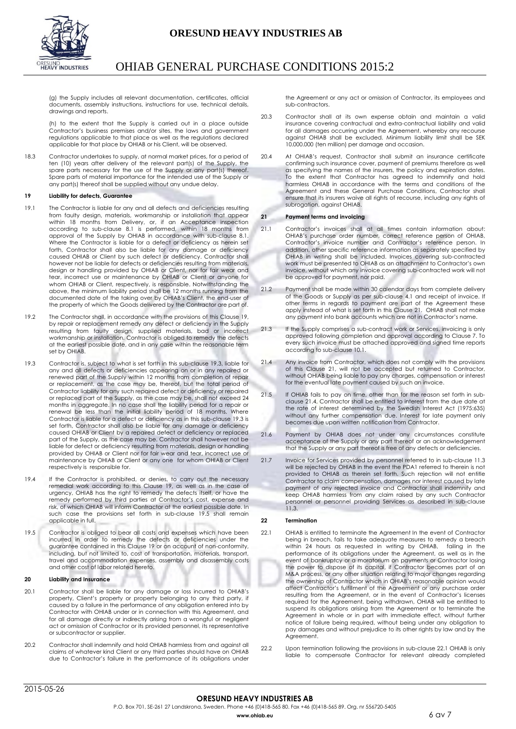

(g) the Supply includes all relevant documentation, certificates, official documents, assembly instructions, instructions for use, technical details, drawings and reports.

(h) to the extent that the Supply is carried out in a place outside Contractor's business premises and/or sites, the laws and government regulations applicable to that place as well as the regulations declared applicable for that place by OHIAB or his Client, will be observed.

18.3 Contractor undertakes to supply, at normal market prices, for a period of ten (10) years after delivery of the relevant part(s) of the Supply, the spare parts necessary for the use of the Supply or any part(s) thereof. Spare parts of material importance for the intended use of the Supply or any part(s) thereof shall be supplied without any undue delay.

# <span id="page-5-0"></span>**19 Liability for defects, Guarantee**

- 19.1 The Contractor is liable for any and all defects and deficiencies resulting from faulty design, materials, workmanship or installation that appear within 18 months from Delivery, or, if an Acceptance inspection according to sub-clause 8.1 is performed, within 18 months from approval of the Supply by OHIAB in accordance with sub-clause 8.1. Where the Contractor is liable for a defect or deficiency as herein set forth, Contractor shall also be liable for any damage or deficiency caused OHIAB or Client by such defect or deficiency. Contractor shall however not be liable for defects or deficiencies resulting from materials, design or handling provided by OHIAB or Client, nor for fair wear and tear, incorrect use or maintenance by OHIAB or Client or anyone for whom OHIAB or Client, respectively, is responsible. Notwithstanding the above, the minimum liability period shall be 12 months running from the documented date of the taking over by OHIAB's Client, the end-user of the property of which the Goods delivered by the Contractor are part of.
- 19.2 The Contractor shall, in accordance with the provisions of this Clause 19, by repair or replacement remedy any defect or deficiency in the Supply resulting from faulty design, supplied materials, bad or incorrect workmanship or installation. Contractor is obliged to remedy the defects at the earliest possible date, and in any case within the reasonable term set by OHIAB.
- 19.3 Contractor is, subject to what is set forth in this sub-clause 19.3, liable for any and all defects or deficiencies appearing on or in any repaired or renewed part of the Supply within 12 months from completion of repair or replacement, as the case may be, thereof, but the total period of Contractor liability for any such repaired defect or deficiency or repaired or replaced part of the Supply, as the case may be, shall not exceed 24 months in aggregate. In no case shall the liability period for a repair or renewal be less than the initial liability period of 18 months. Where Contractor is liable for a defect or deficiency as in this sub-clause 19.3 is set forth, Contractor shall also be liable for any damage or deficiency caused OHIAB or Client by a repaired defect or deficiency or replaced part of the Supply, as the case may be. Contractor shall however not be liable for defect or deficiency resulting from materials, design or handling provided by OHIAB or Client nor for fair wear and tear, incorrect use or maintenance by OHIAB or Client or any one for whom OHIAB or Client respectively is responsible for.
- 19.4 If the Contractor is prohibited, or denies, to carry out the necessary remedial work according to this Clause 19, as well as in the case of urgency, OHIAB has the right to remedy the defects itself, or have the remedy performed by third parties at Contractor's cost, expense and risk, of which OHIAB will inform Contractor at the earliest possible date. In such case the provisions set forth in sub-clause 19.5 shall remain applicable in full.
- 19.5 Contractor is obliged to bear all costs and expenses which have been incurred in order to remedy the defects or deficiencies under the guarantee contained in this Clause 19 or on account of non-conformity, including, but not limited to, cost of transportation, materials, transport, travel and accommodation expenses, assembly and disassembly costs and other cost of labor related hereto.

### <span id="page-5-1"></span>**20 Liability and Insurance**

- 20.1 Contractor shall be liable for any damage or loss incurred to OHIAB's property, Client's property or property belonging to any third party, if caused by a failure in the performance of any obligation entered into by Contractor with OHIAB under or in connection with this Agreement, and for all damage directly or indirectly arising from a wrongful or negligent act or omission of Contractor or its provided personnel, its representative or subcontractor or supplier.
- 20.2 Contractor shall indemnify and hold OHIAB harmless from and against all claims of whatever kind Client or any third parties should have on OHIAB due to Contractor's failure in the performance of its obligations under

the Agreement or any act or omission of Contractor, its employees and sub-contractors.

- 20.3 Contractor shall at its own expense obtain and maintain a valid insurance covering contractual and extra-contractual liability and valid for all damages occurring under the Agreement, whereby any recourse against OHIAB shall be excluded. Minimum liability limit shall be SEK 10.000.000 (ten million) per damage and occasion.
- 20.4 At OHIAB's request, Contractor shall submit an insurance certificate confirming such insurance cover, payment of premiums therefore as well as specifying the names of the insurers, the policy and expiration dates. To the extent that Contractor has agreed to indemnify and hold harmless OHIAB in accordance with the terms and conditions of the Agreement and these General Purchase Conditions, Contractor shall ensure that its insurers waive all rights of recourse, including any rights of subrogation, against OHIAB.

# <span id="page-5-2"></span>**21 Payment terms and invoicing**

- 21.1 Contractor's invoices shall at all times contain information about: OHIAB's purchase order number, correct reference person of OHIAB, Contractor's invoice number and Contractor's reference person. In addition, other specific reference information as separately specified by OHIAB in writing shall be included. Invoices covering sub-contracted work must be presented to OHIAB as an attachment to Contractor's own invoice, without which any invoice covering sub-contracted work will not be approved for payment, nor paid.
- 21.2 Payment shall be made within 30 calendar days from complete delivery of the Goods or Supply as per sub-clause 4.1 and receipt of invoice. If other terms in regards to payment are part of the Agreement these apply instead of what is set forth in this Clause 21. OHIAB shall not make any payment into bank accounts which are not in Contractor's name.
- 21.3 If the Supply comprises a sub-contract work or Services, invoicina is only approved following completion and approval according to Clause 7. To every such invoice must be attached approved and signed time reports according to sub-clause 10.1.
- 21.4 Any invoice from Contractor, which does not comply with the provisions of this Clause 21, will not be accepted but returned to Contractor, without OHIAB being liable to pay any charges, compensation or interest for the eventual late payment caused by such an invoice.
- 21.5 If OHIAB fails to pay on time, other than for the reason set forth in subclause 21.4, Contractor shall be entitled to interest from the due date at the rate of interest determined by the Swedish Interest Act (1975:635) without any further compensation due. Interest for late payment only becomes due upon written notification from Contractor.
- 21.6 Payment by OHIAB does not under any circumstances constitute acceptance of the Supply or any part thereof or an acknowledgement that the Supply or any part thereof is free of any defects or deficiencies.
- 21.7 Invoice for Services provided by personnel referred to in sub-clause 11.3 will be rejected by OHIAB in the event the PDA1 referred to therein is not provided to OHIAB as therein set forth. Such rejection will not entitle Contractor to claim compensation, damages nor interest caused by late payment of any rejected invoice and Contractor shall indemnify and keep OHIAB harmless from any claim raised by any such Contractor personnel or personnel providing Services as described in sub-clause 11.3.

# <span id="page-5-3"></span>**22 Termination**

- 22.1 OHIAB is entitled to terminate the Agreement In the event of Contractor being in breach, fails to take adequate measures to remedy a breach within 24 hours as requested in writing by OHIAB, failing in the within 24 hours as requested in writing by OHIAB, performance of its obligations under the Agreement, as well as in the event of bankruptcy or a moratorium on payments or Contractor losing the power to dispose of its capital, if Contractor becomes part of an M&A process, or any other situation relating to major changes regarding the ownership of Contractor which in OHIAB's reasonable opinion would affect Contractor's fulfillment of the Agreement or any purchase order resulting from the Agreement, or in the event of Contractor's licenses required for the Agreement, being withdrawn, OHIAB will be entitled to suspend its obligations arising from the Agreement or to terminate the Agreement in whole or in part with immediate effect, without further notice of failure being required, without being under any obligation to pay damages and without prejudice to its other rights by law and by the Agreement.
- 22.2 Upon termination following the provisions in sub-clause 22.1 OHIAB is only liable to compensate Contractor for relevant already completed